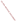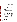PRINTING CODE. Amendments: Whenever an existing statute (or a section of the Indiana Constitution) is being amended, the text of the existing provision will appear in this style type, additions will appear in **this style type**, and deletions will appear in this style type.

 Additions: Whenever a new statutory provision is being enacted (or a new constitutional provision adopted), the text of the new provision will appear in **this style type**. Also, the word **NEW** will appear in that style type in the introductory clause of each SECTION that adds a new provision to the Indiana Code or the Indiana Constitution.

 Conflict reconciliation: Text in a statute in *this style type* or *thisstyle type* reconciles conflicts between statutes enacted by the 1999 General Assembly.

## **SENATE ENROLLED ACT No. 431**

AN ACT to amend the Indiana Code concerning environmental law and to make an appropriation.

*Be it enacted by the General Assembly of the State of Indiana:*

SECTION 1. IC 13-11-2-31.3 IS ADDED TO THE INDIANA CODE AS A **NEW** SECTION TO READ AS FOLLOWS [EFFECTIVE UPON PASSAGE]: **Sec. 31.3. "Combined sewage", for purposes of sections 31.4 and 31.6 of this chapter and IC 13-18, refers to a combination of wastewater (including domestic, commercial, or industrial wastewater) and storm water transported in a combined sewer or combined sewer system.**

SECTION 2. IC 13-11-2-31.4 IS ADDED TO THE INDIANA CODE AS A **NEW** SECTION TO READ AS FOLLOWS [EFFECTIVE UPON PASSAGE]: **Sec. 31.4. "Combined sewer", for purposes of sections 31.3, 31.6, and 120.5 of this chapter and IC 13-18, means a sewer that is designed, constructed, and used to receive and transport combined sewage.**

SECTION 3. IC 13-11-2-31.5 IS ADDED TO THE INDIANA CODE AS A **NEW** SECTION TO READ AS FOLLOWS [EFFECTIVE UPON PASSAGE]: **Sec. 31.5. "Combined sewer operational plan", for purposes of IC 13-18, means a plan that contains the minimum technology controls applicable to, and requirements for operation and maintenance of, a combined sewer system:**

C o p y

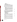**(2) during; and**

**(3) upon the completion of;**

**the implementation of a long term control plan.**

SECTION 4. IC 13-11-2-31.6 IS ADDED TO THE INDIANA CODE AS A **NEW** SECTION TO READ AS FOLLOWS [EFFECTIVE UPON PASSAGE]: **Sec. 31.6. "Combined sewer system", for purposes of sections 31.3, 31.5, 43.5, 85.7, and 120.5 of this chapter and IC 13-18, means a system of combined sewers that:**

**(1) is designed, constructed, and used to receive and transport combined sewage to a publicly owned wastewater treatment plant; and**

**(2) may contain one (1) or more overflow points that discharge combined sewage entering the publicly owned wastewater treatment plant when the hydraulic capacity of the system or part of the system is exceeded as a result of a wet weather event.**

SECTION 5. IC 13-11-2-43.5 IS ADDED TO THE INDIANA CODE AS A **NEW** SECTION TO READ AS FOLLOWS [EFFECTIVE UPON PASSAGE]: **Sec. 43.5. "Control alternative", for purposes of IC 13-18, means any of the following measures, or any combination of the following measures, for the control of wet weather flows in a combined sewer system:**

**(1) Source controls.**

**(2) Collection system controls.**

**(3) Storage technologies**.

**(4) Treatment technologies.**

SECTION 6. IC 13-11-2-50.5 IS ADDED TO THE INDIANA CODE AS A **NEW** SECTION TO READ AS FOLLOWS [EFFECTIVE UPON PASSAGE]: **Sec. 50.5. "Degradation", for purposes of IC 13-18-3, has the meaning set forth in IC 13-18-3-2(b).**

SECTION 7. IC 13-11-2-72.5 IS ADDED TO THE INDIANA CODE AS A **NEW** SECTION TO READ AS FOLLOWS [EFFECTIVE UPON PASSAGE]: **Sec. 72.5. "Exceptional use water", for purposes of IC 13-18-3, has the meaning set forth in IC 13-18-3-2(c).**

SECTION 8. IC 13-11-2-85.7 IS ADDED TO THE INDIANA CODE AS A **NEW** SECTION TO READ AS FOLLOWS [EFFECTIVE UPON PASSAGE]: **Sec. 85.7. "First flush", for purposes of IC 13-18, means the transport of solids in a combined**



US EPA ARCHIVE DOCUMENT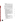**sewer system that:**

**(1) have settled in pipes during periods between wet weather events; and**

**(2) have washed off of impermeable surfaces such as streets and parking lots during the beginning of a wet weather event.** SECTION 9. IC 13-11-2-113.5 IS ADDED TO THE INDIANA CODE AS A **NEW** SECTION TO READ AS FOLLOWS [EFFECTIVE UPON PASSAGE]: **Sec. 113.5. "Knee of the curve", for purposes of IC 13-18, means the point where the incremental change in the cost of the control alternative per change in performance of the control alternative changes most rapidly.**

SECTION 10. IC 13-11-2-120.5 IS ADDED TO THE INDIANA CODE AS A **NEW** SECTION TO READ AS FOLLOWS [EFFECTIVE UPON PASSAGE]: **Sec. 120.5. "Long term control plan", for purposes of section 31.5 of this chapter and IC 13-18, means a plan that:**

**(1) is consistent with the federal Combined Sewer Overflow Control Policy (59 Fed. Reg. 18688);**

**(2) is developed in accordance with the recommendations set forth in Combined Sewer Overflows Guidance for Long-Term Control Plan (EPA 832B95002);**

**(3) describes changes and improvements to be made to a combined sewer system or to a publicly owned wastewater treatment plant for the purpose of meeting the requirements of the federal Clean Water Act and state law;**

**(4) is developed with public participation using a process that is designed to promote active involvement by the affected public, through opportunities to provide in the decision making to select long term control alternatives:**

**(A) information;**

- **(B) opinions; and**
- **(C) comments;**

 **(5) is submitted to the department for approval; and**

 **(6) does the following:**

**(A) Uses characterization, monitoring, and modeling of the combined sewer system to determine:**

**(i) the response of the combined sewer system to various precipitation events;**

**(ii) the characteristics of overflows from the combined sewer system; and**

**(iii) the water quality impacts that result from overflows from the combined sewer system.**

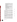**SEA 431 — CC 1**+

**(B) Considers the impact of combined sewer overflows on sensitive areas and gives highest priority to controlling overflows in those areas.**

**(C) Contains an evaluation of a reasonable range of control alternatives, taking into account expected and projected future growth.**

**(D) Contains cost and performance analyses of the control alternatives evaluated.**

**(E) Maximizes treatment of wet weather flows at a publicly owned treatment works (POTW) treatment plant.**

**(F) Contains a practicable implementation schedule for the selected control alternative.**

**(G) Contains a post-construction compliance monitoring program adequate to ascertain:**

**(i) the effectiveness of the selected control alternative; and**

**(ii) the extent to which water quality standards have been attained.**

SECTION 11. IC 13-11-2-149.5 IS ADDED TO THE INDIANA CODE AS A **NEW** SECTION TO READ AS FOLLOWS [EFFECTIVE UPON PASSAGE]: **Sec. 149.5. "Outstanding national resource water", for purposes of IC 13-18-3, has the meaning set forth in IC 13-18-3-2(d).**

SECTION 12. IC 13-11-2-149.6 IS ADDED TO THE INDIANA CODE AS A **NEW** SECTION TO READ AS FOLLOWS [EFFECTIVE UPON PASSAGE]: **Sec. 149.6. "Outstanding state resource water", for purposes of IC 13-18-3, has the meaning set forth in IC 13-18-3-2(e).**

SECTION 13. IC 13-11-2-242.5 IS ADDED TO THE INDIANA CODE AS A **NEW** SECTION TO READ AS FOLLOWS [EFFECTIVE UPON PASSAGE]: **Sec. 242.5. "Use attainability analysis", for purposes of IC 13-18, refers to a structured scientific assessment of the physical, chemical, biological, and economic factors affecting the attainment of a designated use as provided in 40 CFR 131.3(g).**

SECTION 14. IC 13-11-2-265.5 IS ADDED TO THE INDIANA CODE AS A **NEW** SECTION TO READ AS FOLLOWS [EFFECTIVE UPON PASSAGE]: **Sec. 265.5. "Watershed", for purposes of IC 13-18-3, has the meaning set forth in IC 14-8-2-310.**

SECTION 15. IC 13-11-2-265.3 IS ADDED TO THE INDIANA CODE AS A **NEW** SECTION TO READ AS FOLLOWS [EFFECTIVE UPON PASSAGE]: **Sec. 265.3. "Wet weather event",**

C o p y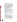**for purposes of IC 13-18, means storm water runoff, snow melt runoff, or ice melt runoff entering a combined sewer system.**

SECTION 16. IC 13-18-2-3 IS ADDED TO THE INDIANA CODE AS A **NEW** SECTION TO READ AS FOLLOWS [EFFECTIVE UPON PASSAGE]: **Sec. 3. (a) The department shall prepare a list of impaired waters for the purpose of complying with federal regulations implementing Section 303(d) of the federal Clean Water Act (33 U.S.C. 1313(d)). In determining whether a water body is impaired, the department shall consider all existing and readily available water quality data and related information. The department, before submitting the list to the United States Environmental Protection Agency, shall:**

**(1) publish the list in the Indiana Register;**

**(2) make the list available for public comment for at least ninety (90) days; and**

**(3) present the list to the board.**

**If the United States Environmental Protection Agency changes the list, the board shall publish the changes in the Indiana Register and conduct a public hearing within ninety (90) days after receipt of the changes.**

**(b) The board shall adopt by rule the methodology to be used in identifying waters as impaired. The rule must specify the methodology and criteria for including and removing waters from the list of impaired waters.**

SECTION 17. IC 13-18-3-2 IS AMENDED TO READ AS FOLLOWS [EFFECTIVE JULY 1, 2000]: Sec. 2. **(a)** The board may adopt rules under IC 4-22-2 that are necessary to the implementation of:

(1) the Federal Water Pollution Control Act (33 U.S.C. 1251 et seq.), as in effect January 1, 1988; and

(2) the federal Safe Drinking Water Act (42 U.S.C. 300f through 300j), as in effect January 1, 1988;

except as provided in IC 14-37.

**(b) "Degradation" means, with respect to a National Pollutant Discharge Elimination System permit, the following:**

**(1) With respect to an outstanding national resource water, any new or increased discharge of a pollutant or a pollutant parameter, except for a short term, temporary increase.**

**(2) With respect to an outstanding state resource water or an exceptional use water, any new or increased discharge of a pollutant or pollutant parameter that results in a significant lowering of water quality for that pollutant or pollutant**





US EPA ARCHIVE DOCUMENT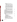**parameter, unless:**

**(A) the activity causing the increased discharge:**

**(i) results in an overall improvement in water quality in the outstanding state resource water or exceptional use water; and**

**(ii) meets the applicable requirements of 327 IAC 2-1-2(1) and (2) and 327 IAC 2-1.5-4(a) and (b); or (B) the person proposing the increased discharge undertakes or funds a water quality improvement project in accordance with subsection (l) in the watershed of the outstanding state resource water or exceptional use water that:**

**(i) results in an overall improvement in water quality in the outstanding state resource water or exceptional use water; and**

**(ii) meets the applicable requirements of 327 IAC 2-1-2(1) and (2) and 327 IAC 2-1.5-4(a) and (b).**

C

o

p

y

**(c) "Exceptional use water" means any water designated as an exceptional use water by the board, regardless of when the designation occurred.**

**(d) "Outstanding national resource water" means a water designated as such by the general assembly after recommendations by the board and the environmental quality service council under subsections (o) and (p). The designation must describe the quality of the outstanding national resource water to serve as the benchmark of the water quality that shall be maintained and protected. Waters that may be considered for designation as outstanding national resource waters include water bodies that are recognized as:**

**(1) important because of protection through official action, such as:**

**(A) federal or state law;**

**(B) presidential or secretarial action;**

- **(C) international treaty; or**
- **(D) interstate compact;**
- **(2) having exceptional recreational significance;**
- **(3) having exceptional ecological significance;**

**(4) having other special environmental, recreational, or ecological attributes; or**

**(5) waters with respect to which designation as an outstanding national resource water is reasonably necessary for protection of other water bodies designated as outstanding national**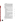**resource waters.**

**(e) "Outstanding state resource water" means any water designated as such by the board regardless of when the designation occurred or occurs. Waters that may be considered for designation as outstanding state resource waters include water bodies that have unique or special ecological, recreational, or aesthetic significance.**

**(f) "Watershed" has the meaning set forth in IC 14-8-2-310.**

**(g) The board may designate a water body as an outstanding state resource water by rule if the board determines that the water body has a unique or special ecological, recreational, or aesthetic significance.**

**(h) Before the board may adopt a rule designating a water body as an outstanding state resource water, the board must consider the following:**

**(1) Economic impact analyses, presented by any interested party, taking into account future population and economic development growth.**

**(2) The biological criteria scores for the water body, using factors that consider fish communities, macro invertebrate communities, and chemical quality criteria using representative biological data from the water body under consideration.**

**(3) The level of current urban and agricultural development in the watershed.**

**(4) Whether the designation of the water body as an outstanding state resource water will have a significant adverse effect on future population, development, and economic growth in the watershed, if the water body is in a watershed that has more than three percent (3%) of its land in urban land uses or serves a municipality with a population greater than five thousand (5,000).**

**(5) Whether the designation of the water body as an outstanding state resource water is necessary to protect the unique or special ecological, recreational, or aesthetic significance of the water body.**

**(i) Before the board may adopt a rule designating a water body as an outstanding state resource water, the board must make available to the public a written summary of the information considered by the board under subsections (g) and (h), including the board's conclusions concerning that information.**

**(j) The commissioner shall present a summary of the comments received from the comment period and information that supports**



US EPA ARCHIVE DOCUMENT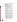**a water body designation as an outstanding state resource water to the environmental quality service council not later than one hundred twenty (120) days after the rule regarding the designation is finally adopted by the board.**

**(k) Notwithstanding any other provision of this section, the designation of an outstanding state resource water in effect on January 1, 2000, remains in effect.**

**(l) For a water body designated as an outstanding state resource water, the board shall provide by rule procedures that will**:

**(1) prevent degradation; and**

**(2) allow for increases and additions in pollutant loadings from an existing or new discharge if:**

**(A) there will be an overall improvement in water quality for the outstanding state resource water as described in this section; and**

**(B) the applicable requirements of 327 IAC 2-1-2(1) and 327 IAC 2-1-2(2) and 327 IAC 2-1.5-4(a) and 327 2-1.5-4(b) are met.**

C

o

p

y

**(m) The procedures provided by rule under subsection (l) must include the following:**

**(1) A definition of significant lowering of water quality that includes a de minimis quantity of additional pollutant load:**

**(A) for which a new or increased permit limit is required; and**

**(B) below which antidegradation implementation procedures do not apply.**

**(2) Provisions allowing the permittee to choose application of one (1) of the following for each activity undertaken by the permittee that will result in a significant lowering of water quality in the outstanding state resource water or exceptional use water:**

**(A) Implementation of a water quality project in the watershed of the outstanding state resource water or the exceptional use water that will result in an overall improvement of the water quality of the outstanding state resource water or the exceptional use water.**

**(B) Payment of a fee, not to exceed five hundred thousand dollars (\$500,000) based on the type and quantity of increased pollutant loadings, to the department for deposit in the outstanding state resource water improvement fund established under section 14 of this chapter.**

**(3) Criteria for the submission and timely approval of**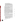**projects described in subdivision (2)(A).**

**(4) A process for public input in the approval process.**

9

**(5) Use of water quality data that is less than seven (7) years old and specific to the outstanding state resource water.**

**(6) Criteria for using the watershed improvement fees to fund projects in the watershed that result in improvement in water quality in the outstanding state resource water or exceptional use water.**

**(n) For a water body designated as an outstanding state resource water after June 30, 2000, the board shall provide by rule antidegradation implementation procedures before the water body is designated in accordance with this section.**

**(o) A water body may be designated as an outstanding national resource water only by the general assembly after recommendations for designation are made by the board and the environmental quality service council.**

C

o

p

y

**(p) Before recommending the designation of an outstanding national resource water, the department shall provide for an adequate public notice and comment period regarding the designation. The commissioner shall present a summary of the comments and information received during the comment period and the department's recommendation concerning designation to the environmental quality service council not later than ninety (90) days after the end of the comment period. The council shall consider the comments, information, and recommendation received from the department, and shall convey its recommendation concerning designation to the general assembly within six (6) months after receipt.**

SECTION 18. IC 13-18-3-2.3 IS ADDED TO THE INDIANA CODE AS A **NEW** SECTION TO READ AS FOLLOWS [EFFECTIVE UPON PASSAGE]: **Sec. 2.3. (a) A long term control plan, upon implementation, fulfills the water quality goals of the state with respect to wet weather discharges that are a result of overflows from the combined sewer system addressed by the plan if:**

**(1) the plan provides for the implementation of cost effective control alternatives that will attain water quality standards or maximize the extent to which water quality standards will be attained if they are not otherwise attainable;**

**(2) the plan provides, at a minimum, for the capture for treatment of first flush;**

**(3) the plan is reviewed periodically; and**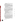**(4) additional controls are implemented as provided in section 2.4 of this chapter.**

**Cost effectiveness may be determined, at the option of the permit holder, by using a knee of the curve analysis.**

**(b) When a use attainability analysis is required for a suspension of designated uses under this chapter, the department must, to the maximum extent permitted under state or federal law:**

**(1) review a use attainability analysis submitted under this chapter concurrently with a long term control plan submitted under this chapter; and**

**(2) use the approved long term control plan to satisfy the requirements of the use attainability analysis.**

SECTION 19. IC 13-18-3-2.4 IS ADDED TO THE INDIANA CODE AS A **NEW** SECTION TO READ AS FOLLOWS [EFFECTIVE UPON PASSAGE]: **Sec. 2.4. (a) A permit holder shall review the feasibility of implementing additional or new control alternatives to attain water quality standards, including standards suspended under section 2.5 of this chapter. The permit holder shall conduct such a review periodically, but not less than every five (5) years after approval of the long term control plan by the department. The permit holder shall:**

C

o

p

y

**(1) document to the department that the long term control plan has been reviewed;**

**(2) update the long term control plan as necessary;**

**(3) submit any amendments to the long term control plan to the department for approval; and**

**(4) implement control alternatives determined to be cost effective.**

**Cost effectiveness may be determined, at the option of the permit holder, by using a knee of the curve analysis.**

SECTION 20. IC 13-18-3-2.5 IS ADDED TO THE INDIANA CODE AS A **NEW** SECTION TO READ AS FOLLOWS [EFFECTIVE UPON PASSAGE]: **Sec. 2.5. (a) Subject to the limitations of subsection (d), designated uses and associated water quality criteria are temporarily suspended on a site specific basis, for waters affected by discharges from combined sewer overflow points listed in the National Pollutant Discharge Elimination System (NPDES) permit due to wet weather events, if:**

**(1) the department has approved a long term control plan for the NPDES permit holder for the combined sewer system:**

**(2) the approved long term control plan is incorporated into the permit holder's NPDES permit;**



US EPA ARCHIVE DOCUMENT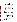**(3) the approved long term control plan:**

**(A) satisfies the requirements of section 2.3 of this chapter; and**

**(B) specifies the designated uses and water quality standards to be suspended under this section;**

**(4) the permit holder:**

**(A) has implemented the approved long term control plan; or**

**(B) is implementing the approved long term control plan in accordance with the schedule approved in the long term control plan;**

**(5) the permit holder is in compliance with the requirements for the operation and maintenance of its wastewater treatment facilities and combined sewer system, including its combined sewer operational plan approved by the department; and**

**(6) the provisions of 40 CFR 131.10, 40 CFR 131.20, and 40 CFR 131.21 are satisfied.**

C

o

p

y

**The provisions of 40 CFR 131.10 may be satisfied by including appropriate data and information in the long term control plan.**

**(b) Existing uses as defined in 40 CFR 131.3(e) and associated water quality criteria may be suspended only in accordance with federal law.**

**(c) To the extent permitted under federal law, the department shall provide a compliance schedule for attainment of water quality based limitations for discharges from combined sewer overflow points in the NPDES permit during the period when the long term control plan is being developed.**

**(d) A temporary suspension applies only:**

**(1) to the NPDES permit holder for discharges from the permit holder's listed combined sewer overflow points; and (2) during the time and to the physical extent that the designated uses and water quality standards are not attained due to the discharges from the listed combined sewer overflow points, but no more than four (4) days after the date the overflow discharge ends.**

**(e) The board may adopt rules in accordance with IC 13-14-8 and IC 13-14-9 to amend the water quality standards to include the terms of the temporary suspension allowed by this section.**

**(f) The permit holder shall monitor its discharges and the water quality in the affected receiving stream periodically, but at least every three (3) years. The permit holder shall provide all such**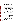**information to the department.**

**(g) In conjunction with a review of its long term control plan under section 2.4 of this chapter, the permit holder shall review information generated after the use attainability analysis was approved by the department to determine whether the conclusion of the use attainability analysis is still valid. The permit holder shall provide the results of the review to the department.**

**(h) A temporary suspension under this section may be authorized only to the extent allowed under federal law. If the department determines that information provided under this section demonstrates that uses being suspended are attainable, the department shall promptly notify the permit holder of its determination. A permit holder may appeal the department's determination under this section in accordance with IC 4-21.5.**

**(i) After the effective date of the determination under subsection (h), the long term control plan may be modified to achieve attainment of the previously suspended uses and associated water quality criteria. The compliance schedule and other provisions of the NPDES permit shall also be modified as necessary.**

C

o

p

y

SECTION 21. IC 13-18-3-14 IS ADDED TO THE INDIANA CODE AS A **NEW** SECTION TO READ AS FOLLOWS [EFFECTIVE UPON PASSAGE]: **Sec. 14. (a) The outstanding state resource water improvement fund is established. All money collected under section 2 of this chapter and any money accruing to the fund are continuously appropriated to the fund to carry out the purposes of section 2 of this chapter. Money in the fund at the end of a state fiscal year does not revert to the state general fund, unless the outstanding state resource water improvement fund is abolished.**

**(b) The outstanding state resource water improvement fund shall be administered as follows:**

**(1) The fund may be used by the department of environmental management to fund projects that will lead to overall improvement to the water quality of the affected exceptional use water or outstanding state resource water.**

**(2) The treasurer of state may invest the money in the fund not currently needed to meet the obligations of the fund in the same manner as other public money may be invested.**

**(3) Any interest received accrues to the fund.**

**(4) The expenses of administering the fund shall be paid from the fund.**

SECTION 22. IC 13-18-19-2 IS ADDED TO THE INDIANA

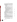CODE AS A **NEW** SECTION TO READ AS FOLLOWS [EFFECTIVE UPON PASSAGE]: **Sec. 2. (a) The department may issue National Pollutant Discharge Elimination System (NPDES) permits containing conditions that include alternate water quality based effluent limits that:**

13

**(1) are based on receiving water flows associated with, or characteristic of:**

**(A) wet weather events of various degrees of duration and intensity; or**

**(B) low flow stream conditions derived on a monthly, quarterly, or annual basis;**

**(2) provide increased mass limitations, concentration limitations, or mass and concentration limitations, for publicly owned treatment works (POTW) that:**

**(A) are capable of treating wastewater flows that exceed the design flow used to calculate normal water quality based effluent limitations; and**

**(B) as a result of the increased limitations, can reduce the volume of discharge of wastewater from plant bypasses or combined sewer overflows; or**

C

o

p

y

**(3) include any factor or combination of factors described in subdivisions (1) and (2).**

**(b) The department may require an applicant for an NPDES permit containing at least one (1) of the conditions described in subsection (a) to document, in a reasonable manner, stream conditions and local controls that are germane to a condition described in subsection (a) before the department issues the NPDES permit.**

SECTION 23. [EFFECTIVE UPON PASSAGE] **(a) As used in this SECTION, "NPDES" refers to a National Pollutant Discharge Elimination System.**

**(b) As used in this SECTION, "combined sewer" has the meaning set forth in IC 13-11-2-31.4.**

**(c) The water pollution control board established under IC 13-18-1 shall adopt a rule before September 1, 2001, establishing requirements for community notification by NPDES permit holders of the potential health impact of combined sewer overflows whenever information from any reliable source indicates that:**

**(1) a discharge or discharges from one (1) or more combined sewer overflow points is occurring; or**

**(2) there is a reasonable likelihood that a discharge or**

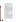**discharges from one (1) or more combined sewer overflow points will occur within the next twenty-four (24) hours.**

**(d) This SECTION expires January 1, 2002.**

SECTION 24. [EFFECTIVE UPON PASSAGE] **(a) As used in this SECTION, "combined sewer" has the meaning set forth in IC 13-11-2-31.4.**

**(b) As used in this SECTION, "long term control plan" has the meaning set forth in IC 13-11-2-120.5.**

**(c) As used in this SECTION, "use attainability analysis" has the meaning set forth in IC 13-11-2-242.5.**

**(d) Before October 1, 2000, the department of environmental management shall provide guidance to all combined sewer overflow communities explaining the requirement of the use attainability analysis and the long term control plan to aid communities in determining how to comply with the requirements. This guidance must clearly identify, to the extent possible, all of the appropriate data and information required by the department of environmental management for a permit holder's long term control plan that will also satisfy the requirements of a use attainability analysis. The guidance must include information regarding minimization of industrial discharges in wet weather events.**

C

o

p

y

**(e) The department shall report to the environmental quality service council at each meeting of the council the progress of guidance given under this SECTION.**

**(f) This SECTION expires January 1, 2001.**

SECTION 25. [EFFECTIVE UPON PASSAGE] **(a) As used in this SECTION, "board" refers to the water pollution control board established under IC 13-18-1.**

**(b) All waters designated under 327 IAC 2-1.5-19(b) as outstanding state resource waters shall be maintained and protected in their present quality in accordance with the antidegradation implementation procedures for the outstanding state resource waters established by the board for waters in the Great Lakes system. Nothing in this act except IC 13-18-3-2, as amended by this act, affects the authority of the board to amend 327 IAC 5-2-11.7. Any rule adopted by the board contrary to this standard is void.**

**(c) All waters designated as outstanding state resource waters under 327 IAC 2-1-2(3) and waters designated as exceptional use waters under 327 IAC 2-1-6(i) shall be maintained and protected in accordance with 327 IAC 2-1-2(1) and 327 IAC 2-1-2(2). If a**

**SEA 431 — CC 1**+

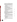**permittee seeks a new or increased discharge for which a new or increased permit limit is required and that amounts to a significant lowering of water quality, the permittee shall demonstrate an overall improvement in water quality in the outstanding state resource water or exceptional use water, subject to:**

**(1) the approval of the department of environmental management; and**

**(2) IC 13-18-3-2(m)(2)(A) and IC 13-18-3-2(m)(2)(B), as amended by this act.**

**(d) Any rule adopted by the board before the effective date of this SECTION is void to the extent that it:**

**(1) is inconsistent with this SECTION; or**

**(2) requires protection of waters beyond the protection required by 327 IAC 2-1-2(1) and 327 IAC 2-1-2(2).**

**(e) Before January 1, 2001, the board shall amend 327 IAC 2-1-2, 327 IAC 2-1-6, and 327 IAC 2-1.5-4 to reflect this act.**

**(f) This SECTION expires on the earlier of:**

**(1) the effective date of the rule amendments adopted by the board under subsection (e); or**

C

o

p

y

**(2) January 1, 2001.**

SECTION 26. [EFFECTIVE UPON PASSAGE] **(a) As used in this SECTION, "department" refers to the department of environmental management.**

**(b) Before July 1, 2001, the department shall develop and maintain a quality assurance program plan and information management system to assess the validity and reliability of the data used in the implementation of IC 13-18-2-3, as added by this act, and IC 13-18-3-2, as amended by this act.**

**(c) The department:**

**(1) shall make data from the information management system under subsection (b) available to the public upon request; and (2) may charge a reasonable fee to persons requesting the data.**

**(d) The department shall use the data from the information management system under subsection (b) to review the data as of January 1, 2002, supporting:**

**(1) the listing of impaired waters under IC 13-18-2-3, as added by this act; and**

**(2) the special designation of waters under IC 13-18-3-2, as amended by this act.**

**(e) Before July 1, 2000, the environmental quality service council shall appoint a water data task force to assess the program**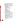**resource needs of the department to collect adequate physical, chemical, and biological data used by the department. The task force shall present its findings to the environmental quality service council upon completion.**

**(f) The water data task force appointed under subsection (e) shall include four (4) members of the general assembly, the chairperson of the environmental quality service council, and representatives of the following:**

**(1) The academic community in the disciplines of biology, chemistry, and hydrology.**

C

o

p

y

**(2) The department.**

**(3) The department of natural resources.**

**(4) The United States Geological Survey.**

**(5) Private chemical water testing laboratories.**

**(6) Industry.**

**(7) Agriculture.**

**(8) Environmental advocacy organizations.**

**(9) General citizens.**

**(10) Municipalities.**

**(11) The water pollution control board.**

**(12) Local public health officials.**

**(13) The state department of health.**

**(14) The United States Fish and Wildlife Service.**

**(g) This SECTION expires October 1, 2002.**

SECTION 27. [EFFECTIVE UPON PASSAGE] **(a) Until October 1, 2002, the following apply to a water body designated before October 1, 2002, as an exceptional use water:**

**(1) The water body is subject to the overall water quality improvement provisions of IC 13-18-3-2(l), as added by this act.**

**(2) The water body is not subject to a standard of having its water quality maintained and protected without degradation consistent with the provisions of this act.**

**(b) Before October 1, 2002, the water pollution control board established under IC 13-18-1 shall:**

**(1) determine whether, effective October 1, 2002, to designate as an outstanding state water each water designated before October 1, 2002, as an exceptional use water under 327 IAC 2-1-11; and**

**(2) complete rulemaking to make any designation determined under subdivision (1).**

**(c) This SECTION expires January 1, 2003.**

**SEA 431 — CC 1**+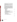SECTION 28. [EFFECTIVE UPON PASSAGE] **(a) As used in this SECTION, "board" refers to the water pollution control board established under IC 13-18-1.**

**(b) Before October 1, 2003, the board shall establish policies and rules to govern the implementation of total maximum daily load requirements of Section 303(d) of the Clean Water Act, 33 U.S.C. 1313(d).**

**(c) Before July 1, 2000, the department shall appoint a working group of stakeholders with respect to the implementation of maximum daily load requirements as described in subsection (b). The working group shall consider and make recommendations to the department of environmental management and the board on identification of issues, the development of policy options, policy adoption, and rulemaking. The working group must include representatives from:**

**(1) the general public;**

**(2) municipalities;**

**(3) industry;**

**(4) business;**

**(5) agriculture;**

**(6) environmental advocacy groups; and**

**(7) others with a high level of expertise in the subject area to**

C

o

p

y

**be considered by the working group.**

**(d) The working group appointed under subsection (c) must also include the following members:**

**(1) a representative of the environmental quality service council;**

**(2) a technical secretary; and**

**(3) a member of the board.**

**(e) This SECTION expires October 1, 2003.**

SECTION 29. **An emergency is declared for this act.**